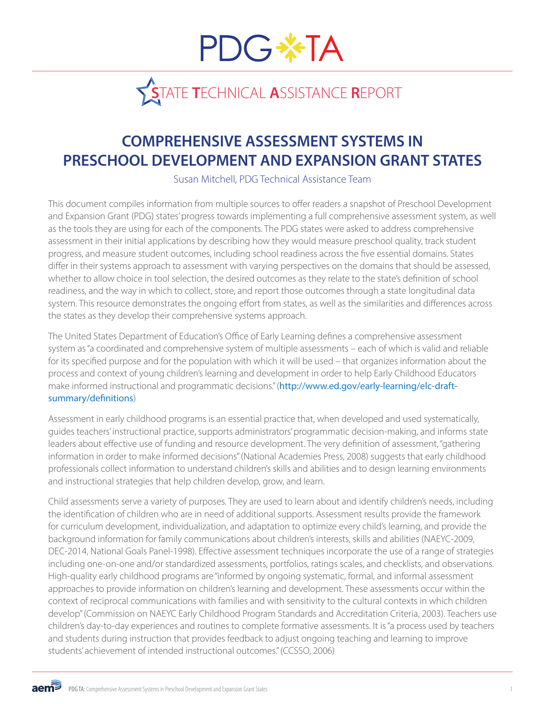

 $PDC$ **\*\*TA** 

# **COMPREHENSIVE ASSESSMENT SYSTEMS IN PRESCHOOL DEVELOPMENT AND EXPANSION GRANT STATES**

Susan Mitchell, PDG Technical Assistance Team

This document compiles information from multiple sources to offer readers a snapshot of Preschool Development and Expansion Grant (PDG) states' progress towards implementing a full comprehensive assessment system, as well as the tools they are using for each of the components. The PDG states were asked to address comprehensive assessment in their initial applications by describing how they would measure preschool quality, track student progress, and measure student outcomes, including school readiness across the five essential domains. States differ in their systems approach to assessment with varying perspectives on the domains that should be assessed, whether to allow choice in tool selection, the desired outcomes as they relate to the state's definition of school readiness, and the way in which to collect, store, and report those outcomes through a state longitudinal data system. This resource demonstrates the ongoing effort from states, as well as the similarities and differences across the states as they develop their comprehensive systems approach.

The United States Department of Education's Office of Early Learning defines a comprehensive assessment system as "a coordinated and comprehensive system of multiple assessments – each of which is valid and reliable for its specified purpose and for the population with which it will be used – that organizes information about the process and context of young children's learning and development in order to help Early Childhood Educators make informed instructional and programmatic decisions." ([http://www.ed.gov/early-learning/elc-draft](http://www.ed.gov/early-learning/elc-draft-summary/definitions)[summary/definitions](http://www.ed.gov/early-learning/elc-draft-summary/definitions))

Assessment in early childhood programs is an essential practice that, when developed and used systematically, guides teachers' instructional practice, supports administrators' programmatic decision-making, and informs state leaders about effective use of funding and resource development. The very definition of assessment, "gathering information in order to make informed decisions" (National Academies Press, 2008) suggests that early childhood professionals collect information to understand children's skills and abilities and to design learning environments and instructional strategies that help children develop, grow, and learn.

Child assessments serve a variety of purposes. They are used to learn about and identify children's needs, including the identification of children who are in need of additional supports. Assessment results provide the framework for curriculum development, individualization, and adaptation to optimize every child's learning, and provide the background information for family communications about children's interests, skills and abilities (NAEYC-2009, DEC-2014, National Goals Panel-1998). Effective assessment techniques incorporate the use of a range of strategies including one-on-one and/or standardized assessments, portfolios, ratings scales, and checklists, and observations. High-quality early childhood programs are "informed by ongoing systematic, formal, and informal assessment approaches to provide information on children's learning and development. These assessments occur within the context of reciprocal communications with families and with sensitivity to the cultural contexts in which children develop" (Commission on NAEYC Early Childhood Program Standards and Accreditation Criteria, 2003). Teachers use children's day-to-day experiences and routines to complete formative assessments. It is "a process used by teachers and students during instruction that provides feedback to adjust ongoing teaching and learning to improve students' achievement of intended instructional outcomes." (CCSSO, 2006)

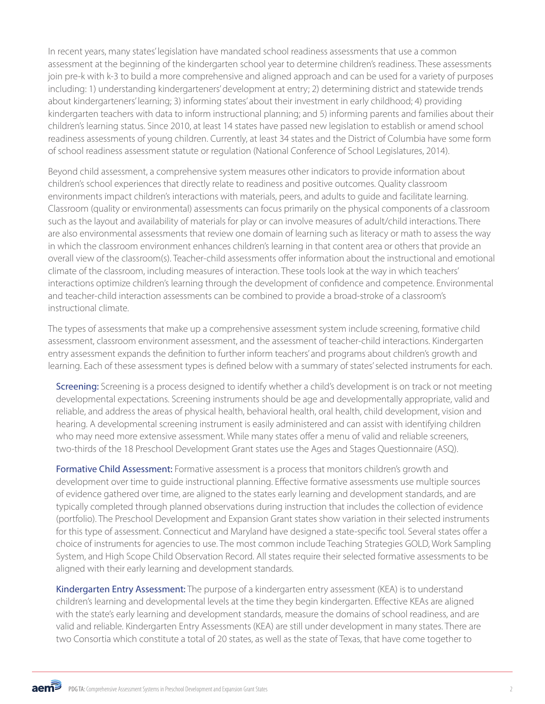In recent years, many states' legislation have mandated school readiness assessments that use a common assessment at the beginning of the kindergarten school year to determine children's readiness. These assessments join pre-k with k-3 to build a more comprehensive and aligned approach and can be used for a variety of purposes including: 1) understanding kindergarteners' development at entry; 2) determining district and statewide trends about kindergarteners' learning; 3) informing states' about their investment in early childhood; 4) providing kindergarten teachers with data to inform instructional planning; and 5) informing parents and families about their children's learning status. Since 2010, at least 14 states have passed new legislation to establish or amend school readiness assessments of young children. Currently, at least 34 states and the District of Columbia have some form of school readiness assessment statute or regulation (National Conference of School Legislatures, 2014).

Beyond child assessment, a comprehensive system measures other indicators to provide information about children's school experiences that directly relate to readiness and positive outcomes. Quality classroom environments impact children's interactions with materials, peers, and adults to guide and facilitate learning. Classroom (quality or environmental) assessments can focus primarily on the physical components of a classroom such as the layout and availability of materials for play or can involve measures of adult/child interactions. There are also environmental assessments that review one domain of learning such as literacy or math to assess the way in which the classroom environment enhances children's learning in that content area or others that provide an overall view of the classroom(s). Teacher-child assessments offer information about the instructional and emotional climate of the classroom, including measures of interaction. These tools look at the way in which teachers' interactions optimize children's learning through the development of confidence and competence. Environmental and teacher-child interaction assessments can be combined to provide a broad-stroke of a classroom's instructional climate.

The types of assessments that make up a comprehensive assessment system include screening, formative child assessment, classroom environment assessment, and the assessment of teacher-child interactions. Kindergarten entry assessment expands the definition to further inform teachers' and programs about children's growth and learning. Each of these assessment types is defined below with a summary of states' selected instruments for each.

Screening: Screening is a process designed to identify whether a child's development is on track or not meeting developmental expectations. Screening instruments should be age and developmentally appropriate, valid and reliable, and address the areas of physical health, behavioral health, oral health, child development, vision and hearing. A developmental screening instrument is easily administered and can assist with identifying children who may need more extensive assessment. While many states offer a menu of valid and reliable screeners, two-thirds of the 18 Preschool Development Grant states use the Ages and Stages Questionnaire (ASQ).

Formative Child Assessment: Formative assessment is a process that monitors children's growth and development over time to guide instructional planning. Effective formative assessments use multiple sources of evidence gathered over time, are aligned to the states early learning and development standards, and are typically completed through planned observations during instruction that includes the collection of evidence (portfolio). The Preschool Development and Expansion Grant states show variation in their selected instruments for this type of assessment. Connecticut and Maryland have designed a state-specific tool. Several states offer a choice of instruments for agencies to use. The most common include Teaching Strategies GOLD, Work Sampling System, and High Scope Child Observation Record. All states require their selected formative assessments to be aligned with their early learning and development standards.

Kindergarten Entry Assessment: The purpose of a kindergarten entry assessment (KEA) is to understand children's learning and developmental levels at the time they begin kindergarten. Effective KEAs are aligned with the state's early learning and development standards, measure the domains of school readiness, and are valid and reliable. Kindergarten Entry Assessments (KEA) are still under development in many states. There are two Consortia which constitute a total of 20 states, as well as the state of Texas, that have come together to

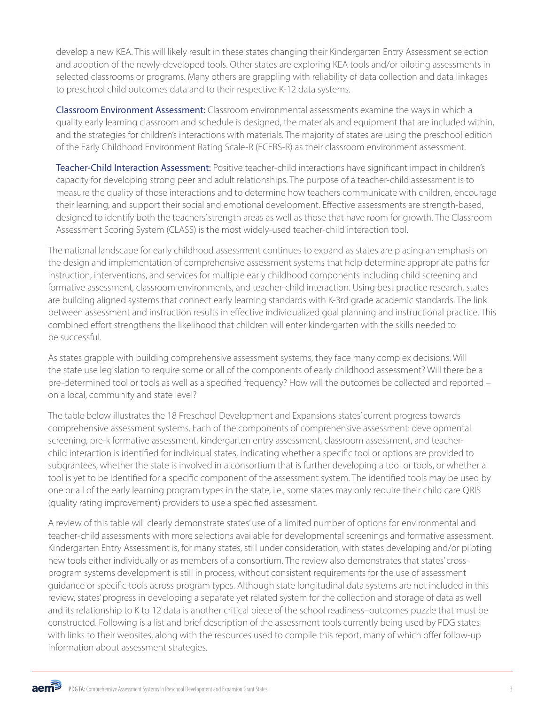develop a new KEA. This will likely result in these states changing their Kindergarten Entry Assessment selection and adoption of the newly-developed tools. Other states are exploring KEA tools and/or piloting assessments in selected classrooms or programs. Many others are grappling with reliability of data collection and data linkages to preschool child outcomes data and to their respective K-12 data systems.

Classroom Environment Assessment: Classroom environmental assessments examine the ways in which a quality early learning classroom and schedule is designed, the materials and equipment that are included within, and the strategies for children's interactions with materials. The majority of states are using the preschool edition of the Early Childhood Environment Rating Scale-R (ECERS-R) as their classroom environment assessment.

Teacher-Child Interaction Assessment: Positive teacher-child interactions have significant impact in children's capacity for developing strong peer and adult relationships. The purpose of a teacher-child assessment is to measure the quality of those interactions and to determine how teachers communicate with children, encourage their learning, and support their social and emotional development. Effective assessments are strength-based, designed to identify both the teachers' strength areas as well as those that have room for growth. The Classroom Assessment Scoring System (CLASS) is the most widely-used teacher-child interaction tool.

The national landscape for early childhood assessment continues to expand as states are placing an emphasis on the design and implementation of comprehensive assessment systems that help determine appropriate paths for instruction, interventions, and services for multiple early childhood components including child screening and formative assessment, classroom environments, and teacher-child interaction. Using best practice research, states are building aligned systems that connect early learning standards with K-3rd grade academic standards. The link between assessment and instruction results in effective individualized goal planning and instructional practice. This combined effort strengthens the likelihood that children will enter kindergarten with the skills needed to be successful.

As states grapple with building comprehensive assessment systems, they face many complex decisions. Will the state use legislation to require some or all of the components of early childhood assessment? Will there be a pre-determined tool or tools as well as a specified frequency? How will the outcomes be collected and reported – on a local, community and state level?

The table below illustrates the 18 Preschool Development and Expansions states' current progress towards comprehensive assessment systems. Each of the components of comprehensive assessment: developmental screening, pre-k formative assessment, kindergarten entry assessment, classroom assessment, and teacherchild interaction is identified for individual states, indicating whether a specific tool or options are provided to subgrantees, whether the state is involved in a consortium that is further developing a tool or tools, or whether a tool is yet to be identified for a specific component of the assessment system. The identified tools may be used by one or all of the early learning program types in the state, i.e., some states may only require their child care QRIS (quality rating improvement) providers to use a specified assessment.

A review of this table will clearly demonstrate states' use of a limited number of options for environmental and teacher-child assessments with more selections available for developmental screenings and formative assessment. Kindergarten Entry Assessment is, for many states, still under consideration, with states developing and/or piloting new tools either individually or as members of a consortium. The review also demonstrates that states' crossprogram systems development is still in process, without consistent requirements for the use of assessment guidance or specific tools across program types. Although state longitudinal data systems are not included in this review, states' progress in developing a separate yet related system for the collection and storage of data as well and its relationship to K to 12 data is another critical piece of the school readiness–outcomes puzzle that must be constructed. Following is a list and brief description of the assessment tools currently being used by PDG states with links to their websites, along with the resources used to compile this report, many of which offer follow-up information about assessment strategies.

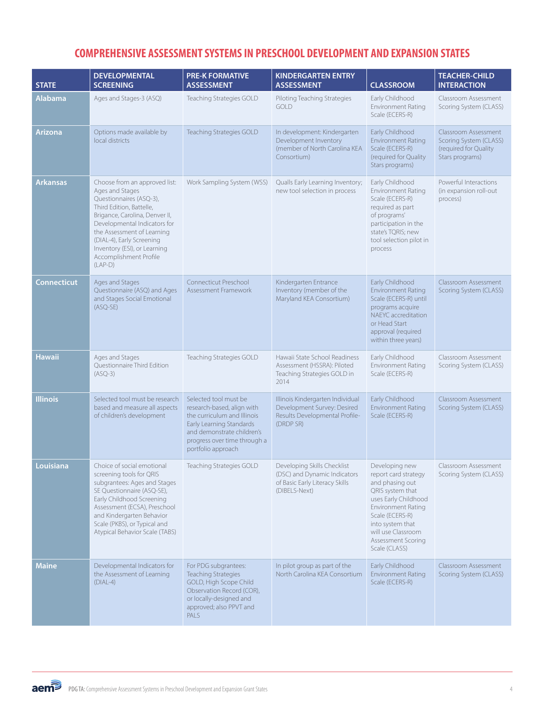## **COMPREHENSIVE ASSESSMENT SYSTEMS IN PRESCHOOL DEVELOPMENT AND EXPANSION STATES**

| <b>STATE</b>       | <b>DEVELOPMENTAL</b><br><b>SCREENING</b>                                                                                                                                                                                                                                                                    | <b>PRE-K FORMATIVE</b><br><b>ASSESSMENT</b>                                                                                                                                                        | <b>KINDERGARTEN ENTRY</b><br><b>ASSESSMENT</b>                                                                 | <b>CLASSROOM</b>                                                                                                                                                                                                                       | <b>TEACHER-CHILD</b><br><b>INTERACTION</b>                                                 |
|--------------------|-------------------------------------------------------------------------------------------------------------------------------------------------------------------------------------------------------------------------------------------------------------------------------------------------------------|----------------------------------------------------------------------------------------------------------------------------------------------------------------------------------------------------|----------------------------------------------------------------------------------------------------------------|----------------------------------------------------------------------------------------------------------------------------------------------------------------------------------------------------------------------------------------|--------------------------------------------------------------------------------------------|
| Alabama            | Ages and Stages-3 (ASQ)                                                                                                                                                                                                                                                                                     | Teaching Strategies GOLD                                                                                                                                                                           | Piloting Teaching Strategies<br>GOLD                                                                           | Early Childhood<br><b>Environment Rating</b><br>Scale (ECERS-R)                                                                                                                                                                        | Classroom Assessment<br>Scoring System (CLASS)                                             |
| <b>Arizona</b>     | Options made available by<br>local districts                                                                                                                                                                                                                                                                | Teaching Strategies GOLD                                                                                                                                                                           | In development: Kindergarten<br>Development Inventory<br>(member of North Carolina KEA<br>Consortium)          | Early Childhood<br><b>Environment Rating</b><br>Scale (ECERS-R)<br>(required for Quality<br>Stars programs)                                                                                                                            | Classroom Assessment<br>Scoring System (CLASS)<br>(required for Quality<br>Stars programs) |
| <b>Arkansas</b>    | Choose from an approved list:<br>Ages and Stages<br>Questionnaires (ASQ-3),<br>Third Edition, Battelle,<br>Brigance, Carolina, Denver II,<br>Developmental Indicators for<br>the Assessment of Learning<br>(DIAL-4), Early Screening<br>Inventory (ESI), or Learning<br>Accomplishment Profile<br>$(LAP-D)$ | Work Sampling System (WSS)                                                                                                                                                                         | Qualls Early Learning Inventory;<br>new tool selection in process                                              | Early Childhood<br><b>Environment Rating</b><br>Scale (ECERS-R)<br>required as part<br>of programs'<br>participation in the<br>state's TQRIS; new<br>tool selection pilot in<br>process                                                | Powerful Interactions<br>(in expansion roll-out<br>process)                                |
| <b>Connecticut</b> | Ages and Stages<br>Questionnaire (ASQ) and Ages<br>and Stages Social Emotional<br>$(ASO-SE)$                                                                                                                                                                                                                | Connecticut Preschool<br>Assessment Framework                                                                                                                                                      | Kindergarten Entrance<br>Inventory (member of the<br>Maryland KEA Consortium)                                  | Early Childhood<br><b>Environment Rating</b><br>Scale (ECERS-R) until<br>programs acquire<br>NAEYC accreditation<br>or Head Start<br>approval (required<br>within three years)                                                         | Classroom Assessment<br>Scoring System (CLASS)                                             |
| Hawaii             | Ages and Stages<br>Questionnaire Third Edition<br>$(ASQ-3)$                                                                                                                                                                                                                                                 | Teaching Strategies GOLD                                                                                                                                                                           | Hawaii State School Readiness<br>Assessment (HSSRA): Piloted<br>Teaching Strategies GOLD in<br>2014            | Early Childhood<br><b>Environment Rating</b><br>Scale (ECERS-R)                                                                                                                                                                        | Classroom Assessment<br>Scoring System (CLASS)                                             |
| <b>Illinois</b>    | Selected tool must be research<br>based and measure all aspects<br>of children's development                                                                                                                                                                                                                | Selected tool must be<br>research-based, align with<br>the curriculum and Illinois<br>Early Learning Standards<br>and demonstrate children's<br>progress over time through a<br>portfolio approach | Illinois Kindergarten Individual<br>Development Survey: Desired<br>Results Developmental Profile-<br>(DRDP SR) | Early Childhood<br><b>Environment Rating</b><br>Scale (ECERS-R)                                                                                                                                                                        | Classroom Assessment<br>Scoring System (CLASS)                                             |
| Louisiana          | Choice of social emotional<br>screening tools for QRIS<br>subgrantees: Ages and Stages<br>SE Questionnaire (ASQ-SE),<br>Early Childhood Screening<br>Assessment (ECSA), Preschool<br>and Kindergarten Behavior<br>Scale (PKBS), or Typical and<br>Atypical Behavior Scale (TABS)                            | Teaching Strategies GOLD                                                                                                                                                                           | Developing Skills Checklist<br>(DSC) and Dynamic Indicators<br>of Basic Early Literacy Skills<br>(DIBELS-Next) | Developing new<br>report card strategy<br>and phasing out<br>QRIS system that<br>uses Early Childhood<br><b>Environment Rating</b><br>Scale (ECERS-R)<br>into system that<br>will use Classroom<br>Assessment Scoring<br>Scale (CLASS) | Classroom Assessment<br>Scoring System (CLASS)                                             |
| <b>Maine</b>       | Developmental Indicators for<br>the Assessment of Learning<br>$(DIAL-4)$                                                                                                                                                                                                                                    | For PDG subgrantees:<br>Teaching Strategies<br>GOLD, High Scope Child<br>Observation Record (COR),<br>or locally-designed and<br>approved; also PPVT and<br><b>PALS</b>                            | In pilot group as part of the<br>North Carolina KEA Consortium                                                 | Early Childhood<br><b>Environment Rating</b><br>Scale (ECERS-R)                                                                                                                                                                        | Classroom Assessment<br>Scoring System (CLASS)                                             |

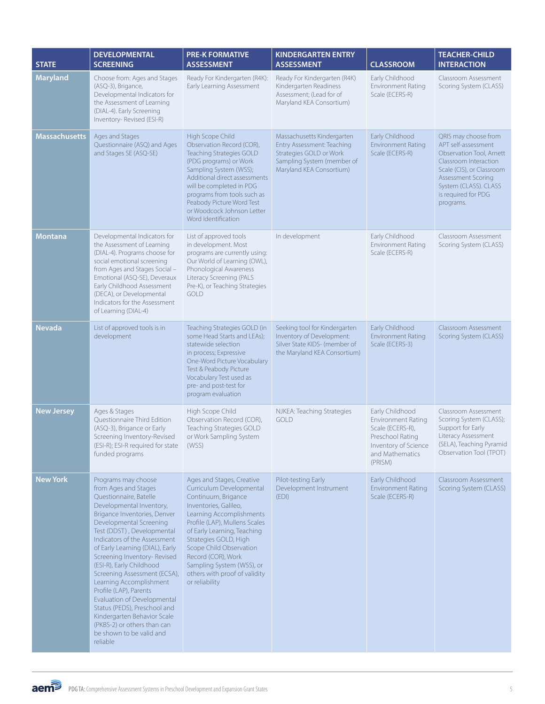| <b>STATE</b>         | <b>DEVELOPMENTAL</b><br><b>SCREENING</b>                                                                                                                                                                                                                                                                                                                                                                                                                                                                                                                                           | <b>PRE-K FORMATIVE</b><br><b>ASSESSMENT</b>                                                                                                                                                                                                                                                                                                                 | <b>KINDERGARTEN ENTRY</b><br><b>ASSESSMENT</b>                                                                                                | <b>CLASSROOM</b>                                                                                                                           | <b>TEACHER-CHILD</b><br><b>INTERACTION</b>                                                                                                                                                                       |
|----------------------|------------------------------------------------------------------------------------------------------------------------------------------------------------------------------------------------------------------------------------------------------------------------------------------------------------------------------------------------------------------------------------------------------------------------------------------------------------------------------------------------------------------------------------------------------------------------------------|-------------------------------------------------------------------------------------------------------------------------------------------------------------------------------------------------------------------------------------------------------------------------------------------------------------------------------------------------------------|-----------------------------------------------------------------------------------------------------------------------------------------------|--------------------------------------------------------------------------------------------------------------------------------------------|------------------------------------------------------------------------------------------------------------------------------------------------------------------------------------------------------------------|
| <b>Maryland</b>      | Choose from: Ages and Stages<br>(ASQ-3), Brigance,<br>Developmental Indicators for<br>the Assessment of Learning<br>(DIAL-4). Early Screening<br>Inventory-Revised (ESI-R)                                                                                                                                                                                                                                                                                                                                                                                                         | Ready For Kindergarten (R4K):<br>Early Learning Assessment                                                                                                                                                                                                                                                                                                  | Ready For Kindergarten (R4K)<br>Kindergarten Readiness<br>Assessment; (Lead for of<br>Maryland KEA Consortium)                                | Early Childhood<br><b>Environment Rating</b><br>Scale (ECERS-R)                                                                            | Classroom Assessment<br>Scoring System (CLASS)                                                                                                                                                                   |
| <b>Massachusetts</b> | Ages and Stages<br>Questionnaire (ASQ) and Ages<br>and Stages SE (ASQ-SE)                                                                                                                                                                                                                                                                                                                                                                                                                                                                                                          | High Scope Child<br>Observation Record (COR),<br>Teaching Strategies GOLD<br>(PDG programs) or Work<br>Sampling System (WSS);<br>Additional direct assessments<br>will be completed in PDG<br>programs from tools such as<br>Peabody Picture Word Test<br>or Woodcock Johnson Letter<br>Word Identification                                                 | Massachusetts Kindergarten<br>Entry Assessment: Teaching<br>Strategies GOLD or Work<br>Sampling System (member of<br>Maryland KEA Consortium) | Early Childhood<br><b>Environment Rating</b><br>Scale (ECERS-R)                                                                            | QRIS may choose from<br>APT self-assessment<br>Observation Tool, Arnett<br>Classroom Interaction<br>Scale (CIS), or Classroom<br>Assessment Scoring<br>System (CLASS). CLASS<br>is required for PDG<br>programs. |
| Montana              | Developmental Indicators for<br>the Assessment of Learning<br>(DIAL-4). Programs choose for<br>social emotional screening<br>from Ages and Stages Social -<br>Emotional (ASQ-SE), Deveraux<br>Early Childhood Assessment<br>(DECA), or Developmental<br>Indicators for the Assessment<br>of Learning (DIAL-4)                                                                                                                                                                                                                                                                      | List of approved tools<br>in development. Most<br>programs are currently using:<br>Our World of Learning (OWL),<br>Phonological Awareness<br>Literacy Screening (PALS<br>Pre-K), or Teaching Strategies<br><b>GOLD</b>                                                                                                                                      | In development                                                                                                                                | Early Childhood<br><b>Environment Rating</b><br>Scale (ECERS-R)                                                                            | Classroom Assessment<br>Scoring System (CLASS)                                                                                                                                                                   |
| <b>Nevada</b>        | List of approved tools is in<br>development                                                                                                                                                                                                                                                                                                                                                                                                                                                                                                                                        | Teaching Strategies GOLD (in<br>some Head Starts and LEAs);<br>statewide selection<br>in process; Expressive<br>One-Word Picture Vocabulary<br>Test & Peabody Picture<br>Vocabulary Test used as<br>pre- and post-test for<br>program evaluation                                                                                                            | Seeking tool for Kindergarten<br>Inventory of Development:<br>Silver State KIDS- (member of<br>the Maryland KEA Consortium)                   | Early Childhood<br><b>Environment Rating</b><br>Scale (ECERS-3)                                                                            | Classroom Assessment<br>Scoring System (CLASS)                                                                                                                                                                   |
| <b>New Jersey</b>    | Ages & Stages<br>Questionnaire Third Edition<br>(ASQ-3), Brigance or Early<br>Screening Inventory-Revised<br>(ESI-R); ESI-R required for state (WSS)<br>funded programs                                                                                                                                                                                                                                                                                                                                                                                                            | High Scope Child<br>Observation Record (COR),<br>Teaching Strategies GOLD<br>or Work Sampling System                                                                                                                                                                                                                                                        | NJKEA: Teaching Strategies<br><b>GOLD</b>                                                                                                     | Early Childhood<br><b>Environment Rating</b><br>Scale (ECERS-R),<br>Preschool Rating<br>Inventory of Science<br>and Mathematics<br>(PRISM) | Classroom Assessment<br>Scoring System (CLASS);<br>Support for Early<br>Literacy Assessment<br>(SELA), Teaching Pyramid<br>Observation Tool (TPOT)                                                               |
| <b>New York</b>      | Programs may choose<br>from Ages and Stages<br>Questionnaire, Batelle<br>Developmental Inventory,<br>Brigance Inventories, Denver<br>Developmental Screening<br>Test (DDST), Developmental<br>Indicators of the Assessment<br>of Early Learning (DIAL), Early<br>Screening Inventory-Revised<br>(ESI-R), Early Childhood<br>Screening Assessment (ECSA),<br>Learning Accomplishment<br>Profile (LAP), Parents<br>Evaluation of Developmental<br>Status (PEDS), Preschool and<br>Kindergarten Behavior Scale<br>(PKBS-2) or others than can<br>be shown to be valid and<br>reliable | Ages and Stages, Creative<br>Curriculum Developmental<br>Continuum, Brigance<br>Inventories, Galileo,<br>Learning Accomplishments<br>Profile (LAP), Mullens Scales<br>of Early Learning, Teaching<br>Strategies GOLD, High<br>Scope Child Observation<br>Record (COR), Work<br>Sampling System (WSS), or<br>others with proof of validity<br>or reliability | Pilot-testing Early<br>Development Instrument<br>(EDI)                                                                                        | Early Childhood<br><b>Environment Rating</b><br>Scale (ECERS-R)                                                                            | Classroom Assessment<br>Scoring System (CLASS)                                                                                                                                                                   |

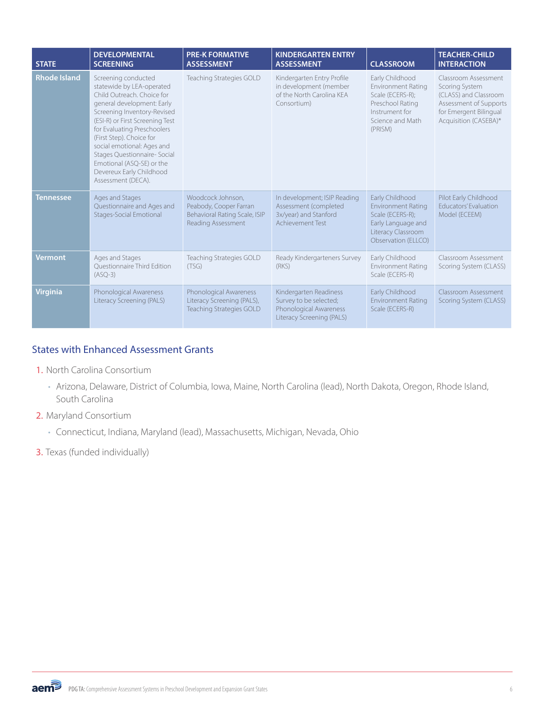| <b>STATE</b>        | <b>DEVELOPMENTAL</b><br><b>SCREENING</b>                                                                                                                                                                                                                                                                                                                                                      | <b>PRE-K FORMATIVE</b><br><b>ASSESSMENT</b>                                                               | <b>KINDERGARTEN ENTRY</b><br><b>ASSESSMENT</b>                                                          | <b>CLASSROOM</b>                                                                                                                      | <b>TEACHER-CHILD</b><br><b>INTERACTION</b>                                                                                                   |
|---------------------|-----------------------------------------------------------------------------------------------------------------------------------------------------------------------------------------------------------------------------------------------------------------------------------------------------------------------------------------------------------------------------------------------|-----------------------------------------------------------------------------------------------------------|---------------------------------------------------------------------------------------------------------|---------------------------------------------------------------------------------------------------------------------------------------|----------------------------------------------------------------------------------------------------------------------------------------------|
| <b>Rhode Island</b> | Screening conducted<br>statewide by LEA-operated<br>Child Outreach, Choice for<br>general development: Early<br>Screening Inventory-Revised<br>(ESI-R) or First Screening Test<br>for Evaluating Preschoolers<br>(First Step). Choice for<br>social emotional: Ages and<br><b>Stages Questionnaire- Social</b><br>Emotional (ASQ-SE) or the<br>Devereux Early Childhood<br>Assessment (DECA). | Teaching Strategies GOLD                                                                                  | Kindergarten Entry Profile<br>in development (member<br>of the North Carolina KFA<br>Consortium)        | Early Childhood<br><b>Environment Rating</b><br>Scale (ECERS-R);<br>Preschool Rating<br>Instrument for<br>Science and Math<br>(PRISM) | Classroom Assessment<br>Scoring System<br>(CLASS) and Classroom<br>Assessment of Supports<br>for Emergent Bilingual<br>Acquisition (CASEBA)* |
| Tennessee           | Ages and Stages<br>Questionnaire and Ages and<br><b>Stages-Social Emotional</b>                                                                                                                                                                                                                                                                                                               | Woodcock Johnson,<br>Peabody, Cooper Farran<br>Behavioral Rating Scale, ISIP<br><b>Reading Assessment</b> | In development; ISIP Reading<br>Assessment (completed<br>3x/year) and Stanford<br>Achievement Test      | Early Childhood<br><b>Environment Rating</b><br>Scale (ECERS-R);<br>Early Language and<br>Literacy Classroom<br>Observation (ELLCO)   | Pilot Early Childhood<br><b>Educators' Evaluation</b><br>Model (ECEEM)                                                                       |
| <b>Vermont</b>      | Ages and Stages<br>Ouestionnaire Third Edition<br>$(ASQ-3)$                                                                                                                                                                                                                                                                                                                                   | Teaching Strategies GOLD<br>(TSG)                                                                         | Ready Kindergarteners Survey<br>(RKS)                                                                   | Early Childhood<br><b>Environment Rating</b><br>Scale (ECERS-R)                                                                       | Classroom Assessment<br>Scoring System (CLASS)                                                                                               |
| <b>Virginia</b>     | Phonological Awareness<br>Literacy Screening (PALS)                                                                                                                                                                                                                                                                                                                                           | Phonological Awareness<br>Literacy Screening (PALS),<br>Teaching Strategies GOLD                          | Kindergarten Readiness<br>Survey to be selected;<br>Phonological Awareness<br>Literacy Screening (PALS) | Early Childhood<br><b>Environment Rating</b><br>Scale (ECERS-R)                                                                       | Classroom Assessment<br>Scoring System (CLASS)                                                                                               |

#### States with Enhanced Assessment Grants

- 1. North Carolina Consortium
	- Arizona, Delaware, District of Columbia, Iowa, Maine, North Carolina (lead), North Dakota, Oregon, Rhode Island, South Carolina
- 2. Maryland Consortium
	- Connecticut, Indiana, Maryland (lead), Massachusetts, Michigan, Nevada, Ohio
- 3. Texas (funded individually)

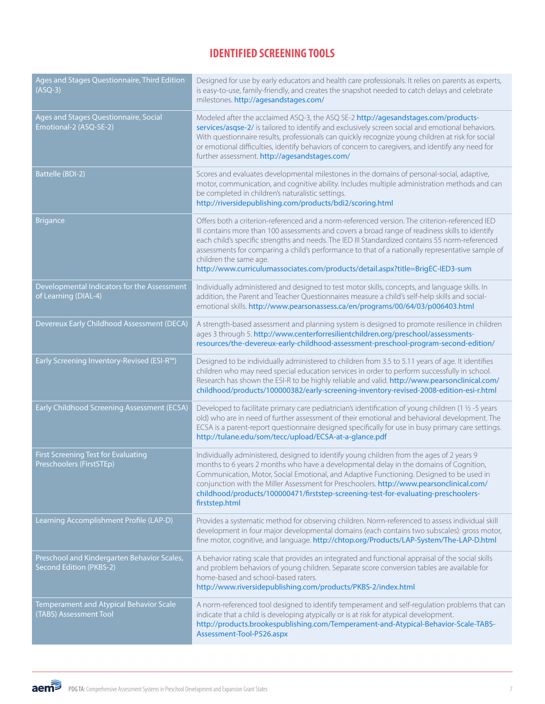# **IDENTIFIED SCREENING TOOLS**

| Ages and Stages Questionnaire, Third Edition<br>$(ASQ-3)$              | Designed for use by early educators and health care professionals. It relies on parents as experts,<br>is easy-to-use, family-friendly, and creates the snapshot needed to catch delays and celebrate<br>milestones. http://agesandstages.com/                                                                                                                                                                                                                                                                       |
|------------------------------------------------------------------------|----------------------------------------------------------------------------------------------------------------------------------------------------------------------------------------------------------------------------------------------------------------------------------------------------------------------------------------------------------------------------------------------------------------------------------------------------------------------------------------------------------------------|
| Ages and Stages Questionnaire, Social<br>Emotional-2 (ASQ-SE-2)        | Modeled after the acclaimed ASQ-3, the ASQ SE-2 http://agesandstages.com/products-<br>services/asqse-2/ is tailored to identify and exclusively screen social and emotional behaviors.<br>With questionnaire results, professionals can quickly recognize young children at risk for social<br>or emotional difficulties, identify behaviors of concern to caregivers, and identify any need for<br>further assessment. http://agesandstages.com/                                                                    |
| Battelle (BDI-2)                                                       | Scores and evaluates developmental milestones in the domains of personal-social, adaptive,<br>motor, communication, and cognitive ability. Includes multiple administration methods and can<br>be completed in children's naturalistic settings.<br>http://riversidepublishing.com/products/bdi2/scoring.html                                                                                                                                                                                                        |
| <b>Brigance</b>                                                        | Offers both a criterion-referenced and a norm-referenced version. The criterion-referenced IED<br>III contains more than 100 assessments and covers a broad range of readiness skills to identify<br>each child's specific strengths and needs. The IED III Standardized contains 55 norm-referenced<br>assessments for comparing a child's performance to that of a nationally representative sample of<br>children the same age.<br>http://www.curriculumassociates.com/products/detail.aspx?title=BrigEC-IED3-sum |
| Developmental Indicators for the Assessment<br>of Learning (DIAL-4)    | Individually administered and designed to test motor skills, concepts, and language skills. In<br>addition, the Parent and Teacher Questionnaires measure a child's self-help skills and social-<br>emotional skills. http://www.pearsonassess.ca/en/programs/00/64/03/p006403.html                                                                                                                                                                                                                                  |
| Devereux Early Childhood Assessment (DECA)                             | A strength-based assessment and planning system is designed to promote resilience in children<br>ages 3 through 5. http://www.centerforresilientchildren.org/preschool/assessments-<br>resources/the-devereux-early-childhood-assessment-preschool-program-second-edition/                                                                                                                                                                                                                                           |
| Early Screening Inventory-Revised (ESI-R™)                             | Designed to be individually administered to children from 3.5 to 5.11 years of age. It identifies<br>children who may need special education services in order to perform successfully in school.<br>Research has shown the ESI-R to be highly reliable and valid. http://www.pearsonclinical.com/<br>childhood/products/100000382/early-screening-inventory-revised-2008-edition-esi-r.html                                                                                                                         |
| Early Childhood Screening Assessment (ECSA)                            | Developed to facilitate primary care pediatrician's identification of young children (1 1/2 -5 years<br>old) who are in need of further assessment of their emotional and behavioral development. The<br>ECSA is a parent-report questionnaire designed specifically for use in busy primary care settings.<br>http://tulane.edu/som/tecc/upload/ECSA-at-a-glance.pdf                                                                                                                                                |
| <b>First Screening Test for Evaluating</b><br>Preschoolers (FirstSTEp) | Individually administered, designed to identify young children from the ages of 2 years 9<br>months to 6 years 2 months who have a developmental delay in the domains of Cognition,<br>Communication, Motor, Social Emotional, and Adaptive Functioning. Designed to be used in<br>conjunction with the Miller Assessment for Preschoolers. http://www.pearsonclinical.com/<br>childhood/products/100000471/firststep-screening-test-for-evaluating-preschoolers-<br>firststep.html                                  |
| Learning Accomplishment Profile (LAP-D)                                | Provides a systematic method for observing children. Norm-referenced to assess individual skill<br>development in four major developmental domains (each contains two subscales): gross motor,<br>fine motor, cognitive, and language. http://chtop.org/Products/LAP-System/The-LAP-D.html                                                                                                                                                                                                                           |
| Preschool and Kindergarten Behavior Scales,<br>Second Edition (PKBS-2) | A behavior rating scale that provides an integrated and functional appraisal of the social skills<br>and problem behaviors of young children. Separate score conversion tables are available for<br>home-based and school-based raters.<br>http://www.riversidepublishing.com/products/PKBS-2/index.html                                                                                                                                                                                                             |
| Temperament and Atypical Behavior Scale<br>(TABS) Assessment Tool      | A norm-referenced tool designed to identify temperament and self-regulation problems that can<br>indicate that a child is developing atypically or is at risk for atypical development.<br>http://products.brookespublishing.com/Temperament-and-Atypical-Behavior-Scale-TABS-<br>Assessment-Tool-P526.aspx                                                                                                                                                                                                          |

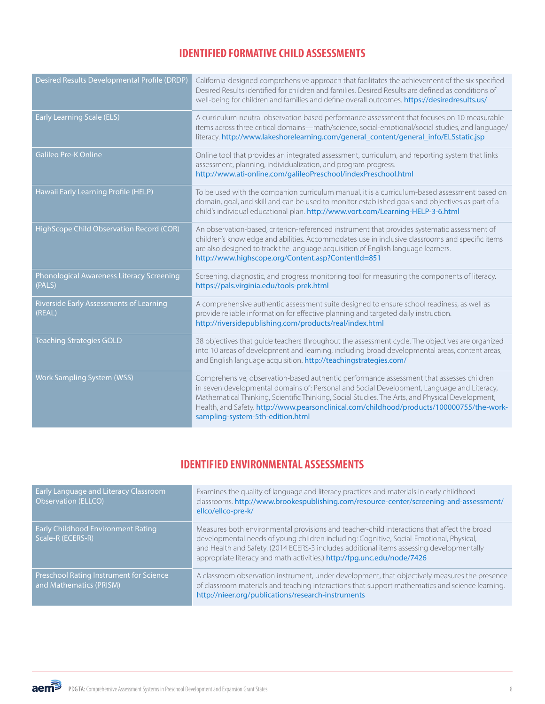## **IDENTIFIED FORMATIVE CHILD ASSESSMENTS**

| Desired Results Developmental Profile (DRDP)        | California-designed comprehensive approach that facilitates the achievement of the six specified<br>Desired Results identified for children and families. Desired Results are defined as conditions of<br>well-being for children and families and define overall outcomes. https://desiredresults.us/                                                                                                                     |
|-----------------------------------------------------|----------------------------------------------------------------------------------------------------------------------------------------------------------------------------------------------------------------------------------------------------------------------------------------------------------------------------------------------------------------------------------------------------------------------------|
| <b>Early Learning Scale (ELS)</b>                   | A curriculum-neutral observation based performance assessment that focuses on 10 measurable<br>items across three critical domains—math/science, social-emotional/social studies, and language/<br>literacy. http://www.lakeshorelearning.com/general_content/general_info/ELSstatic.jsp                                                                                                                                   |
| Galileo Pre-K Online                                | Online tool that provides an integrated assessment, curriculum, and reporting system that links<br>assessment, planning, individualization, and program progress.<br>http://www.ati-online.com/galileoPreschool/indexPreschool.html                                                                                                                                                                                        |
| Hawaii Early Learning Profile (HELP)                | To be used with the companion curriculum manual, it is a curriculum-based assessment based on<br>domain, goal, and skill and can be used to monitor established goals and objectives as part of a<br>child's individual educational plan. http://www.vort.com/Learning-HELP-3-6.html                                                                                                                                       |
| HighScope Child Observation Record (COR)            | An observation-based, criterion-referenced instrument that provides systematic assessment of<br>children's knowledge and abilities. Accommodates use in inclusive classrooms and specific items<br>are also designed to track the language acquisition of English language learners.<br>http://www.highscope.org/Content.asp?ContentId=851                                                                                 |
| Phonological Awareness Literacy Screening<br>(PALS) | Screening, diagnostic, and progress monitoring tool for measuring the components of literacy.<br>https://pals.virginia.edu/tools-prek.html                                                                                                                                                                                                                                                                                 |
| Riverside Early Assessments of Learning<br>(REAL)   | A comprehensive authentic assessment suite designed to ensure school readiness, as well as<br>provide reliable information for effective planning and targeted daily instruction.<br>http://riversidepublishing.com/products/real/index.html                                                                                                                                                                               |
| <b>Teaching Strategies GOLD</b>                     | 38 objectives that guide teachers throughout the assessment cycle. The objectives are organized<br>into 10 areas of development and learning, including broad developmental areas, content areas,<br>and English language acquisition. http://teachingstrategies.com/                                                                                                                                                      |
| Work Sampling System (WSS)                          | Comprehensive, observation-based authentic performance assessment that assesses children<br>in seven developmental domains of: Personal and Social Development, Language and Literacy,<br>Mathematical Thinking, Scientific Thinking, Social Studies, The Arts, and Physical Development,<br>Health, and Safety. http://www.pearsonclinical.com/childhood/products/100000755/the-work-<br>sampling-system-5th-edition.html |

### **IDENTIFIED ENVIRONMENTAL ASSESSMENTS**

| Early Language and Literacy Classroom<br>Observation (ELLCO)       | Examines the quality of language and literacy practices and materials in early childhood<br>classrooms. http://www.brookespublishing.com/resource-center/screening-and-assessment/<br>ellco/ellco-pre-k/                                                                                                                                                      |
|--------------------------------------------------------------------|---------------------------------------------------------------------------------------------------------------------------------------------------------------------------------------------------------------------------------------------------------------------------------------------------------------------------------------------------------------|
| <b>Early Childhood Environment Rating</b><br>Scale-R (ECERS-R)     | Measures both environmental provisions and teacher-child interactions that affect the broad<br>developmental needs of young children including: Cognitive, Social-Emotional, Physical,<br>and Health and Safety. (2014 ECERS-3 includes additional items assessing developmentally<br>appropriate literacy and math activities.) http://fpg.unc.edu/node/7426 |
| Preschool Rating Instrument for Science<br>and Mathematics (PRISM) | A classroom observation instrument, under development, that objectively measures the presence<br>of classroom materials and teaching interactions that support mathematics and science learning.<br>http://nieer.org/publications/research-instruments                                                                                                        |

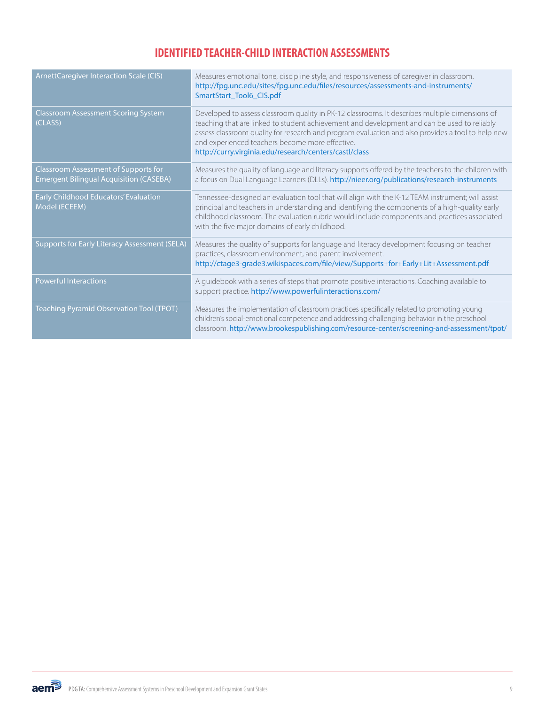# **IDENTIFIED TEACHER-CHILD INTERACTION ASSESSMENTS**

| ArnettCaregiver Interaction Scale (CIS)                                                | Measures emotional tone, discipline style, and responsiveness of caregiver in classroom.<br>http://fpg.unc.edu/sites/fpg.unc.edu/files/resources/assessments-and-instruments/<br>SmartStart_Tool6_CIS.pdf                                                                                                                                                                                                       |
|----------------------------------------------------------------------------------------|-----------------------------------------------------------------------------------------------------------------------------------------------------------------------------------------------------------------------------------------------------------------------------------------------------------------------------------------------------------------------------------------------------------------|
| <b>Classroom Assessment Scoring System</b><br>(CLASS)                                  | Developed to assess classroom quality in PK-12 classrooms. It describes multiple dimensions of<br>teaching that are linked to student achievement and development and can be used to reliably<br>assess classroom quality for research and program evaluation and also provides a tool to help new<br>and experienced teachers become more effective.<br>http://curry.virginia.edu/research/centers/castl/class |
| Classroom Assessment of Supports for<br><b>Emergent Bilingual Acquisition (CASEBA)</b> | Measures the quality of language and literacy supports offered by the teachers to the children with<br>a focus on Dual Language Learners (DLLs). http://nieer.org/publications/research-instruments                                                                                                                                                                                                             |
| Early Childhood Educators' Evaluation<br>Model (ECEEM)                                 | Tennessee-designed an evaluation tool that will align with the K-12 TEAM instrument; will assist<br>principal and teachers in understanding and identifying the components of a high-quality early<br>childhood classroom. The evaluation rubric would include components and practices associated<br>with the five major domains of early childhood.                                                           |
| Supports for Early Literacy Assessment (SELA)                                          | Measures the quality of supports for language and literacy development focusing on teacher<br>practices, classroom environment, and parent involvement.<br>http://ctage3-grade3.wikispaces.com/file/view/Supports+for+Early+Lit+Assessment.pdf                                                                                                                                                                  |
| <b>Powerful Interactions</b>                                                           | A guidebook with a series of steps that promote positive interactions. Coaching available to<br>support practice. http://www.powerfulinteractions.com/                                                                                                                                                                                                                                                          |
| <b>Teaching Pyramid Observation Tool (TPOT)</b>                                        | Measures the implementation of classroom practices specifically related to promoting young<br>children's social-emotional competence and addressing challenging behavior in the preschool<br>classroom. http://www.brookespublishing.com/resource-center/screening-and-assessment/tpot/                                                                                                                         |



<u> 1980 - Johann Barbara, martxa a</u>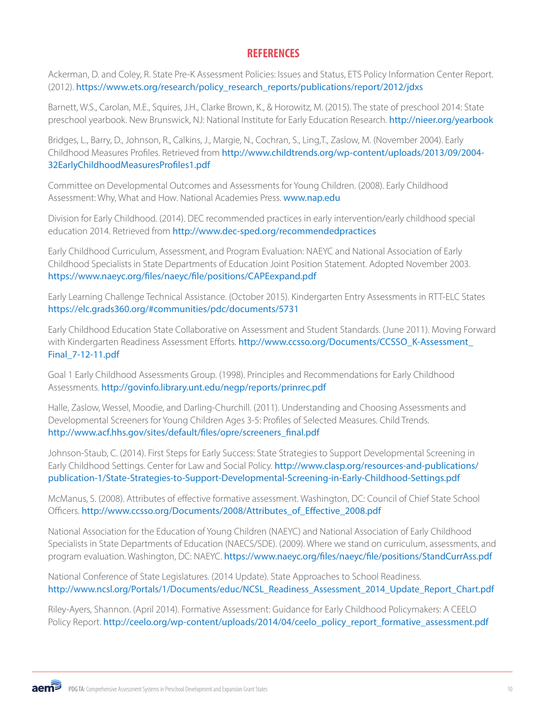#### **REFERENCES**

Ackerman, D. and Coley, R. State Pre-K Assessment Policies: Issues and Status, ETS Policy Information Center Report. (2012). [https://www.ets.org/research/policy\\_research\\_reports/publications/report/2012/jdxs](https://www.ets.org/research/policy_research_reports/publications/report/2012/jdxs)

Barnett, W.S., Carolan, M.E., Squires, J.H., Clarke Brown, K., & Horowitz, M. (2015). The state of preschool 2014: State preschool yearbook. New Brunswick, NJ: National Institute for Early Education Research. <http://nieer.org/yearbook>

Bridges, L., Barry, D., Johnson, R., Calkins, J., Margie, N., Cochran, S., Ling,T., Zaslow, M. (November 2004). Early Childhood Measures Profiles. Retrieved from [http://www.childtrends.org/wp-content/uploads/2013/09/2004-](http://www.childtrends.org/wp-content/uploads/2013/09/2004-32EarlyChildhoodMeasuresProfiles1.pdf) [32EarlyChildhoodMeasuresProfiles1.pdf](http://www.childtrends.org/wp-content/uploads/2013/09/2004-32EarlyChildhoodMeasuresProfiles1.pdf)

Committee on Developmental Outcomes and Assessments for Young Children. (2008). Early Childhood Assessment: Why, What and How. National Academies Press. [www.nap.edu](http://www.nap.edu)

Division for Early Childhood. (2014). DEC recommended practices in early intervention/early childhood special education 2014. Retrieved from <http://www.dec-sped.org/recommendedpractices>

Early Childhood Curriculum, Assessment, and Program Evaluation: NAEYC and National Association of Early Childhood Specialists in State Departments of Education Joint Position Statement. Adopted November 2003. <https://www.naeyc.org/files/naeyc/file/positions/CAPEexpand.pdf>

Early Learning Challenge Technical Assistance. (October 2015). Kindergarten Entry Assessments in RTT-ELC States <https://elc.grads360.org/#communities/pdc/documents/5731>

Early Childhood Education State Collaborative on Assessment and Student Standards. (June 2011). Moving Forward with Kindergarten Readiness Assessment Efforts. [http://www.ccsso.org/Documents/CCSSO\\_K-Assessment\\_](http://www.ccsso.org/Documents/CCSSO_K-Assessment_Final_7-12-11.pdf) [Final\\_7-12-11.pdf](http://www.ccsso.org/Documents/CCSSO_K-Assessment_Final_7-12-11.pdf)

Goal 1 Early Childhood Assessments Group. (1998). Principles and Recommendations for Early Childhood Assessments. <http://govinfo.library.unt.edu/negp/reports/prinrec.pdf>

Halle, Zaslow, Wessel, Moodie, and Darling-Churchill. (2011). Understanding and Choosing Assessments and Developmental Screeners for Young Children Ages 3-5: Profiles of Selected Measures. Child Trends. [http://www.acf.hhs.gov/sites/default/files/opre/screeners\\_final.pdf](http://www.acf.hhs.gov/sites/default/files/opre/screeners_final.pdf)

Johnson-Staub, C. (2014). First Steps for Early Success: State Strategies to Support Developmental Screening in Early Childhood Settings. Center for Law and Social Policy. [http://www.clasp.org/resources-and-publications/](http://www.clasp.org/resources-and-publications/publication-1/State-Strategies-to-Support-Developmental-Screening-in-Early-Childhood-Settings.pdf) [publication-1/State-Strategies-to-Support-Developmental-Screening-in-Early-Childhood-Settings.pdf](http://www.clasp.org/resources-and-publications/publication-1/State-Strategies-to-Support-Developmental-Screening-in-Early-Childhood-Settings.pdf)

McManus, S. (2008). Attributes of effective formative assessment. Washington, DC: Council of Chief State School Officers. [http://www.ccsso.org/Documents/2008/Attributes\\_of\\_Effective\\_2008.pdf](http://www.ccsso.org/Documents/2008/Attributes_of_Effective_2008.pdf)

National Association for the Education of Young Children (NAEYC) and National Association of Early Childhood Specialists in State Departments of Education (NAECS/SDE). (2009). Where we stand on curriculum, assessments, and program evaluation. Washington, DC: NAEYC. <https://www.naeyc.org/files/naeyc/file/positions/StandCurrAss.pdf>

National Conference of State Legislatures. (2014 Update). State Approaches to School Readiness. [http://www.ncsl.org/Portals/1/Documents/educ/NCSL\\_Readiness\\_Assessment\\_2014\\_Update\\_Report\\_Chart.pdf](http://www.ncsl.org/Portals/1/Documents/educ/NCSL_Readiness_Assessment_2014_Update_Report_Chart.pdf)

Riley-Ayers, Shannon. (April 2014). Formative Assessment: Guidance for Early Childhood Policymakers: A CEELO Policy Report. [http://ceelo.org/wp-content/uploads/2014/04/ceelo\\_policy\\_report\\_formative\\_assessment.pdf](http://ceelo.org/wp-content/uploads/2014/04/ceelo_policy_report_formative_assessment.pdf)